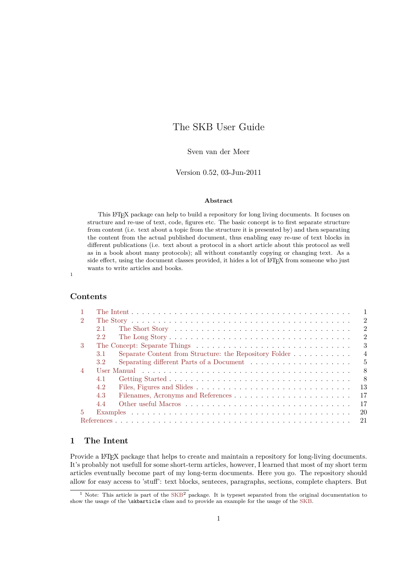# The SKB User Guide

## Sven van der Meer

### Version 0.52, 03-Jun-2011

#### **Abstract**

This LATEX package can help to build a repository for long living documents. It focuses on structure and re-use of text, code, figures etc. The basic concept is to first separate structure from content (i.e. text about a topic from the structure it is presented by) and then separating the content from the actual published document, thus enabling easy re-use of text blocks in different publications (i.e. text about a protocol in a short article about this protocol as well as in a book about many protocols); all without constantly copying or changing text. As a side effect, using the document classes provided, it hides a lot of L<sup>AT</sup>EX from someone who just wants to write articles and books.

1

## **Contents**

|                | $\mathbf{1}$                                                                    |
|----------------|---------------------------------------------------------------------------------|
| $\mathcal{D}$  | $\overline{2}$                                                                  |
|                | $\mathfrak{D}$<br>2.1                                                           |
|                | $\mathfrak{D}$<br>$2.2^{\circ}$                                                 |
| $\mathcal{R}$  | 3                                                                               |
|                | $\overline{4}$<br>Separate Content from Structure: the Repository Folder<br>3.1 |
|                | 5<br>3.2                                                                        |
| $\overline{4}$ | 8                                                                               |
|                | -8<br>4.1                                                                       |
|                | 13<br>4.2                                                                       |
|                | 17<br>4.3                                                                       |
|                | 17<br>4.4                                                                       |
| 5              | 20                                                                              |
|                | 21                                                                              |

## <span id="page-0-0"></span>**1 The Intent**

Provide a LAT<sub>EX</sub> package that helps to create and maintain a repository for long-living documents. It's probably not usefull for some short-term articles, however, I learned that most of my short term articles eventually become part of my long-term documents. Here you go. The repository should allow for easy access to 'stuff': text blocks, senteces, paragraphs, sections, complete chapters. But

 $1$  Note: This article is part of the [SKB](#page-20-1)<sup>2</sup> package. It is typeset separated from the original documentation to show the usage of the \skbarticle class and to provide an example for the usage of the [SKB.](#page-20-1)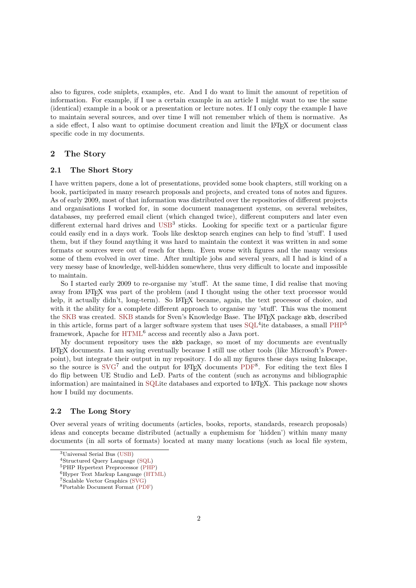also to figures, code sniplets, examples, etc. And I do want to limit the amount of repetition of information. For example, if I use a certain example in an article I might want to use the same (identical) example in a book or a presentation or lecture notes. If I only copy the example I have to maintain several sources, and over time I will not remember which of them is normative. As a side effect, I also want to optimise document creation and limit the LATEX or document class specific code in my documents.

## <span id="page-1-0"></span>**2 The Story**

#### <span id="page-1-1"></span>**2.1 The Short Story**

I have written papers, done a lot of presentations, provided some book chapters, still working on a book, participated in many research proposals and projects, and created tons of notes and figures. As of early 2009, most of that information was distributed over the repositories of different projects and organisations I worked for, in some document management systems, on several websites, databases, my preferred email client (which changed twice), different computers and later even different external hard drives and  $\text{USB}^3$  $\text{USB}^3$  $\text{USB}^3$  sticks. Looking for specific text or a particular figure could easily end in a days work. Tools like desktop search engines can help to find 'stuff'. I used them, but if they found anything it was hard to maintain the context it was written in and some formats or sources were out of reach for them. Even worse with figures and the many versions some of them evolved in over time. After multiple jobs and several years, all I had is kind of a very messy base of knowledge, well-hidden somewhere, thus very difficult to locate and impossible to maintain.

So I started early 2009 to re-organise my 'stuff'. At the same time, I did realise that moving away from LATEX was part of the problem (and I thought using the other text processor would help, it actually didn't, long-term). So L<sup>AT</sup>EX became, again, the text processor of choice, and with it the ability for a complete different approach to organise my 'stuff'. This was the moment the [SKB](#page-20-1) was created. SKB stands for Sven's Knowledge Base. The L<sup>A</sup>T<sub>F</sub>X package skb, described in this article, forms part of a larger software system that uses  $\text{SQL}^4$  $\text{SQL}^4$  $\text{SQL}^4$  ite databases, a small  $\text{PHP}^5$  $\text{PHP}^5$  $\text{PHP}^5$ framework, Apache for [HTML](#page-20-5)<sup>6</sup> access and recently also a Java port.

My document repository uses the skb package, so most of my documents are eventually LATEX documents. I am saying eventually because I still use other tools (like Microsoft's Powerpoint), but integrate their output in my repository. I do all my figures these days using Inkscape, so the source is  $SVG^7$  $SVG^7$  and the output for L<sup>AT</sup>EX documents [PDF](#page-20-7)<sup>8</sup>. For editing the text files I do flip between UE Studio and LeD. Parts of the content (such as acronyms and bibliographic information) are maintained in [SQLi](#page-20-3)te databases and exported to L<sup>AT</sup>FX. This package now shows how I build my documents.

### <span id="page-1-2"></span>**2.2 The Long Story**

Over several years of writing documents (articles, books, reports, standards, research proposals) ideas and concepts became distributed (actually a euphemism for 'hidden') within many many documents (in all sorts of formats) located at many many locations (such as local file system,

<sup>3</sup>Universal Serial Bus [\(USB\)](#page-20-2)

<sup>4</sup>Structured Query Language [\(SQL\)](#page-20-3)

<sup>5</sup>PHP Hypertext Preprocessor [\(PHP\)](#page-20-4)

<sup>6</sup>Hyper Text Markup Language [\(HTML\)](#page-20-5)

<sup>7</sup>Scalable Vector Graphics [\(SVG\)](#page-20-6)

<sup>8</sup>Portable Document Format [\(PDF\)](#page-20-7)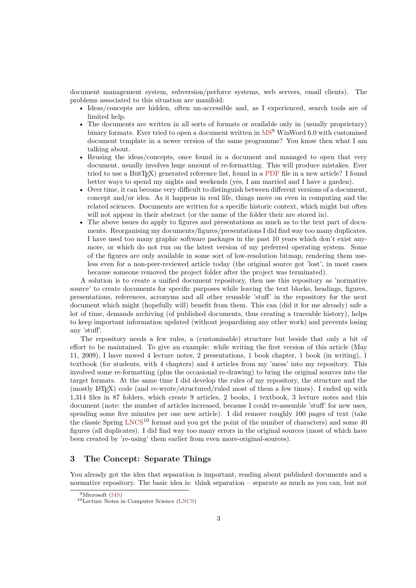document management system, subversion/perforce systems, web servers, email clients). The problems associated to this situation are manifold:

- Ideas/concepts are hidden, often un-accessible and, as I experienced, search tools are of limited help.
- The documents are written in all sorts of formats or available only in (usually proprietary) binary formats. Ever tried to open a document written in [MS](#page-20-8)<sup>9</sup> WinWord 6.0 with customised document template in a newer version of the same programme? You know then what I am talking about.
- Reusing the ideas/concepts, once found in a document and managed to open that very document, usually involves huge amount of re-formatting. This will produce mistakes. Ever tried to use a BIBT<sub>EX</sub>) generated reference list, found in a [PDF](#page-20-7) file in a new article? I found better ways to spend my nights and weekends (yes, I am married and I have a garden).
- Over time, it can become very difficult to distinguish between different versions of a document, concept and/or idea. As it happens in real life, things move on even in computing and the related sciences. Documents are written for a specific historic context, which might but often will not appear in their abstract (or the name of the folder their are stored in).
- The above issues do apply to figures and presentations as much as to the text part of documents. Reorganising my documents/figures/presentations I did find way too many duplicates. I have used too many graphic software packages in the past 10 years which don't exist anymore, or which do not run on the latest version of my preferred operating system. Some of the figures are only available in some sort of low-resolution bitmap, rendering them useless even for a non-peer-reviewed article today (the original source got 'lost', in most cases because someone removed the project folder after the project was terminated).

A solution is to create a unified document repository, then use this repository as 'normative source' to create documents for specific purposes while leaving the text blocks, headings, figures, presentations, references, acronyms and all other reusable 'stuff' in the repository for the next document which might (hopefully will) benefit from them. This can (did it for me already) safe a lot of time, demands archiving (of published documents, thus creating a traceable history), helps to keep important information updated (without jeopardising any other work) and prevents losing any 'stuff'.

The repository needs a few rules, a (customisable) structure but beside that only a bit of effort to be maintained. To give an example: while writing the first version of this article (May 11, 2009), I have moved 4 lecture notes, 2 presentations, 1 book chapter, 1 book (in writing), 1 textbook (for students, with 4 chapters) and 4 articles from my 'mess' into my repository. This involved some re-formatting (plus the occasional re-drawing) to bring the original sources into the target formats. At the same time I did develop the rules of my repository, the structure and the (mostly LATEX) code (and re-wrote/structured/ruled most of them a few times). I ended up with 1,314 files in 87 folders, which create 9 articles, 2 books, 1 textbook, 3 lecture notes and this document (note: the number of articles increased, because I could re-assemble 'stuff' for new uses, spending some five minutes per one new article). I did remove roughly 100 pages of text (take the classic Spring  $LNCS^{10}$  $LNCS^{10}$  format and you get the point of the number of characters) and some 40 figures (all duplicates). I did find way too many errors in the original sources (most of which have been created by 're-using' them earlier from even more-original-sources).

## <span id="page-2-0"></span>**3 The Concept: Separate Things**

You already got the idea that separation is important, reading about published documents and a normative repository. The basic idea is: think separation – separate as much as you can, but not

<sup>9</sup>Microsoft [\(MS\)](#page-20-8)

<sup>10</sup>Lecture Notes in Computer Science [\(LNCS\)](#page-20-9)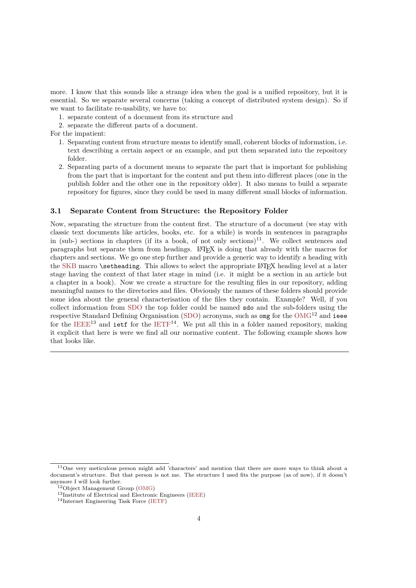more. I know that this sounds like a strange idea when the goal is a unified repository, but it is essential. So we separate several concerns (taking a concept of distributed system design). So if we want to facilitate re-usability, we have to:

- 1. separate content of a document from its structure and
- 2. separate the different parts of a document.

For the impatient:

- 1. Separating content from structure means to identify small, coherent blocks of information, i.e. text describing a certain aspect or an example, and put them separated into the repository folder.
- 2. Separating parts of a document means to separate the part that is important for publishing from the part that is important for the content and put them into different places (one in the publish folder and the other one in the repository older). It also means to build a separate repository for figures, since they could be used in many different small blocks of information.

#### <span id="page-3-0"></span>**3.1 Separate Content from Structure: the Repository Folder**

Now, separating the structure from the content first. The structure of a document (we stay with classic text documents like articles, books, etc. for a while) is words in sentences in paragraphs in (sub-) sections in chapters (if its a book, of not only sections)<sup>11</sup>. We collect sentences and paragraphs but separate them from headings. LATEX is doing that already with the macros for chapters and sections. We go one step further and provide a generic way to identify a heading with the [SKB](#page-20-1) macro **\setheading**. This allows to select the appropriate L<sup>A</sup>T<sub>E</sub>X heading level at a later stage having the context of that later stage in mind (i.e. it might be a section in an article but a chapter in a book). Now we create a structure for the resulting files in our repository, adding meaningful names to the directories and files. Obviously the names of these folders should provide some idea about the general characterisation of the files they contain. Example? Well, if you collect information from [SDO](#page-20-10) the top folder could be named sdo and the sub-folders using the respective Standard Defining Organisation [\(SDO\)](#page-20-10) acronyms, such as omg for the  $OMG^{12}$  $OMG^{12}$  and ieee for the  $IEEE^{13}$  $IEEE^{13}$  and ietf for the  $IETF^{14}$  $IETF^{14}$ . We put all this in a folder named repository, making it explicit that here is were we find all our normative content. The following example shows how that looks like.

<span id="page-3-1"></span><sup>11</sup>One very meticulous person might add 'characters' and mention that there are more ways to think about a document's structure. But that person is not me. The structure I used fits the purpose (as of now), if it doesn't anymore I will look further.

 $12$ Object Management Group [\(OMG\)](#page-20-11)

<sup>13</sup>Institute of Electrical and Electronic Engineers [\(IEEE\)](#page-20-12)

<sup>14</sup>Internet Engineering Task Force [\(IETF\)](#page-20-13)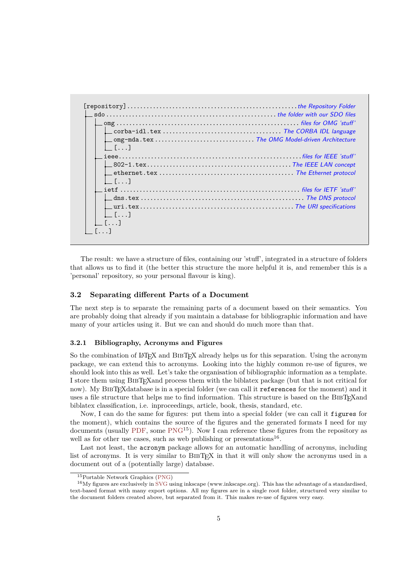| $L_{\perp}$ []                                                                                                                                       |  |
|------------------------------------------------------------------------------------------------------------------------------------------------------|--|
|                                                                                                                                                      |  |
|                                                                                                                                                      |  |
|                                                                                                                                                      |  |
| $l = [ \ldots ]$                                                                                                                                     |  |
| ${\sf i}$ iet ${\sf f}$ $\ldots$ $\ldots$ $\ldots$ $\ldots$ $\ldots$ $\ldots$ $\ldots$ $\ldots$ $\ldots$ . $\ldots$ . ${\sf files}$ for IETF 'stuff' |  |
|                                                                                                                                                      |  |
| $\lfloor$ $\lfloor$ $\ldots$ $\rfloor$                                                                                                               |  |
| $\lfloor$ $\lfloor$ $\lceil$ $\ldots$ $\rceil$                                                                                                       |  |
|                                                                                                                                                      |  |

The result: we have a structure of files, containing our 'stuff', integrated in a structure of folders that allows us to find it (the better this structure the more helpful it is, and remember this is a 'personal' repository, so your personal flavour is king).

#### <span id="page-4-0"></span>**3.2 Separating different Parts of a Document**

The next step is to separate the remaining parts of a document based on their semantics. You are probably doing that already if you maintain a database for bibliographic information and have many of your articles using it. But we can and should do much more than that.

#### **3.2.1 Bibliography, Acronyms and Figures**

So the combination of  $\cancel{BTR}$  and BIBT<sub>EX</sub> already helps us for this separation. Using the acronym package, we can extend this to acronyms. Looking into the highly common re-use of figures, we should look into this as well. Let's take the organisation of bibliographic information as a template. I store them using BibTEXand process them with the biblatex package (but that is not critical for now). My BIBT<sub>E</sub>Xdatabase is in a special folder (we can call it references for the moment) and it uses a file structure that helps me to find information. This structure is based on the BIBT<sub>E</sub>Xand biblatex classification, i.e. inproceedings, article, book, thesis, standard, etc.

Now, I can do the same for figures: put them into a special folder (we can call it figures for the moment), which contains the source of the figures and the generated formats I need for my documents (usually [PDF,](#page-20-7) some [PNG](#page-20-14)<sup>15</sup>). Now I can reference these figures from the repository as well as for other use cases, such as web publishing or presentations<sup>16</sup>.

Last not least, the acronym package allows for an automatic handling of acronyms, including list of acronyms. It is very similar to BIBT<sub>EX</sub> in that it will only show the acronyms used in a document out of a (potentially large) database.

<sup>15</sup>Portable Network Graphics [\(PNG\)](#page-20-14)

<sup>16</sup>My figures are exclusively in [SVG](#page-20-6) using inkscape (www.inkscape.org). This has the advantage of a standardised, text-based format with many export options. All my figures are in a single root folder, structured very similar to the document folders created above, but separated from it. This makes re-use of figures very easy.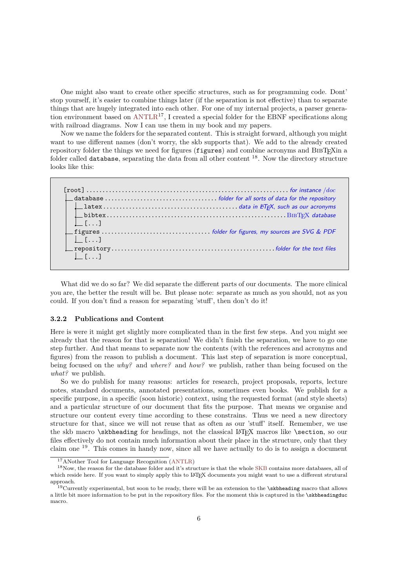One might also want to create other specific structures, such as for programming code. Dont' stop yourself, it's easier to combine things later (if the separation is not effective) than to separate things that are hugely integrated into each other. For one of my internal projects, a parser generation environment based on  $ANTLR^{17}$  $ANTLR^{17}$ , I created a special folder for the EBNF specifications along with railroad diagrams. Now I can use them in my book and my papers.

Now we name the folders for the separated content. This is straight forward, although you might want to use different names (don't worry, the skb supports that). We add to the already created repository folder the things we need for figures (figures) and combine acronyms and BIBTEXin a folder called database, separating the data from all other content  $^{18}$ . Now the directory structure looks like this:



What did we do so far? We did separate the different parts of our documents. The more clinical you are, the better the result will be. But please note: separate as much as you should, not as you could. If you don't find a reason for separating 'stuff', then don't do it!

#### **3.2.2 Publications and Content**

Here is were it might get slightly more complicated than in the first few steps. And you might see already that the reason for that is separation! We didn't finish the separation, we have to go one step further. And that means to separate now the contents (with the references and acronyms and figures) from the reason to publish a document. This last step of separation is more conceptual, being focused on the *why?* and *where?* and *how?* we publish, rather than being focused on the *what?* we publish.

So we do publish for many reasons: articles for research, project proposals, reports, lecture notes, standard documents, annotated presentations, sometimes even books. We publish for a specific purpose, in a specific (soon historic) context, using the requested format (and style sheets) and a particular structure of our document that fits the purpose. That means we organise and structure our content every time according to these constrains. Thus we need a new directory structure for that, since we will not reuse that as often as our 'stuff' itself. Remember, we use the skb macro \skbheading for headings, not the classical LATEX macros like \section, so our files effectively do not contain much information about their place in the structure, only that they claim one <sup>19</sup>. This comes in handy now, since all we have actually to do is to assign a document

<sup>17</sup>ANother Tool for Language Recognition [\(ANTLR\)](#page-20-15)

<sup>18</sup>Now, the reason for the database folder and it's structure is that the whole [SKB](#page-20-1) contains more databases, all of which reside here. If you want to simply apply this to LATEX documents you might want to use a different strutural approach.

<sup>&</sup>lt;sup>19</sup>Currently experimental, but soon to be ready, there will be an extension to the \skbheading macro that allows a little bit more information to be put in the repository files. For the moment this is captured in the \skbheadingduc macro.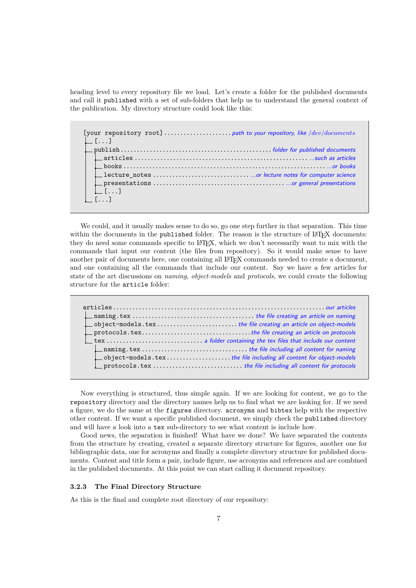heading level to every repository file we load. Let's create a folder for the published documents and call it published with a set of sub-folders that help us to understand the general context of the publication. My directory structure could look like this:

[your repository root].....................path to your repository, like */dev/documents*  $\lfloor \ldots \rfloor$ publish...............................................folder for published documents articles ...................................................... ...such as articles books ..................................................................or books lecture\_notes .............................. ...or lecture notes for computer science presentations ......................................... ...or general presentations [...] [...]

We could, and it usually makes sense to do so, go one step further in that separation. This time within the documents in the published folder. The reason is the structure of LAT<sub>EX</sub> documents: they do need some commands specific to LAT<sub>EX</sub>, which we don't necessarily want to mix with the commands that input our content (the files from repository). So it would make sense to have another pair of documents here, one containing all LAT<sub>EX</sub> commands needed to create a document, and one containing all the commands that include our content. Say we have a few articles for state of the art discussions on *naming*, *object-models* and *protocols*, we could create the following structure for the article folder:

| $\Box$ object-models.texthe file creating an article on object-models |
|-----------------------------------------------------------------------|
|                                                                       |
|                                                                       |
|                                                                       |
|                                                                       |
|                                                                       |
| object-models.texthe file including all content for object-models     |
| $\Box$ protocols.tex the file including all content for protocols     |

Now everything is structured, thus simple again. If we are looking for content, we go to the repository directory and the directory names help us to find what we are looking for. If we need a figure, we do the same at the figures directory. acronyms and bibtex help with the respective other content. If we want a specific published document, we simply check the published directory and will have a look into a tex sub-directory to see what content is include how.

Good news, the separation is finished! What have we done? We have separated the contents from the structure by creating, created a separate directory structure for figures, another one for bibliographic data, one for acronyms and finally a complete directory structure for published documents. Content and title form a pair, include figure, use acronyms and references and are combined in the published documents. At this point we can start calling it document repository.

## **3.2.3 The Final Directory Structure**

As this is the final and complete root directory of our repository: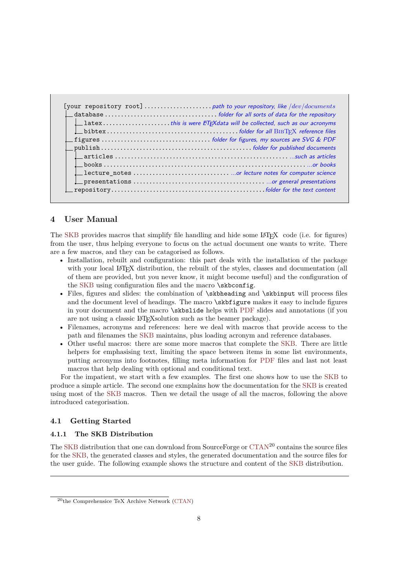| $\Box$ latexthis is were ET <sub>F</sub> Xdata will be collected, such as our acronyms |
|----------------------------------------------------------------------------------------|
|                                                                                        |
|                                                                                        |
|                                                                                        |
|                                                                                        |
|                                                                                        |
|                                                                                        |
|                                                                                        |
|                                                                                        |

## <span id="page-7-0"></span>**4 User Manual**

The [SKB](#page-20-1) provides macros that simplify file handling and hide some LAT<sub>EX</sub> code (i.e. for figures) from the user, thus helping everyone to focus on the actual document one wants to write. There are a few macros, and they can be catagorised as follows.

- Installation, rebuilt and configuration: this part deals with the installation of the package with your local L<sup>A</sup>T<sub>EX</sub> distribution, the rebuilt of the styles, classes and documentation (all of them are provided, but you never know, it might become useful) and the configuration of the [SKB](#page-20-1) using configuration files and the macro \skbconfig.
- Files, figures and slides: the combination of \skbheading and \skbinput will process files and the document level of headings. The macro \skbfigure makes it easy to include figures in your document and the macro \skbslide helps with [PDF](#page-20-7) slides and annotations (if you are not using a classic LATEXsolution such as the beamer package).
- Filenames, acronyms and references: here we deal with macros that provide access to the path and filenames the [SKB](#page-20-1) maintains, plus loading acronym and reference databases.
- Other useful macros: there are some more macros that complete the [SKB.](#page-20-1) There are little helpers for emphasising text, limiting the space between items in some list environments, putting acronyms into footnotes, filling meta information for [PDF](#page-20-7) files and last not least macros that help dealing with optional and conditional text.

For the impatient, we start with a few examples. The first one shows how to use the [SKB](#page-20-1) to produce a simple article. The second one exmplains how the documentation for the [SKB](#page-20-1) is created using most of the [SKB](#page-20-1) macros. Then we detail the usage of all the macros, following the above introduced categorisation.

#### <span id="page-7-1"></span>**4.1 Getting Started**

### **4.1.1 The SKB Distribution**

The [SKB](#page-20-1) distribution that one can download from SourceForge or [CTAN](#page-20-16)<sup>20</sup> contains the source files for the [SKB,](#page-20-1) the generated classes and styles, the generated documentation and the source files for the user guide. The following example shows the structure and content of the [SKB](#page-20-1) distribution.

<sup>20</sup>the Comprehensice TeX Archive Network [\(CTAN\)](#page-20-16)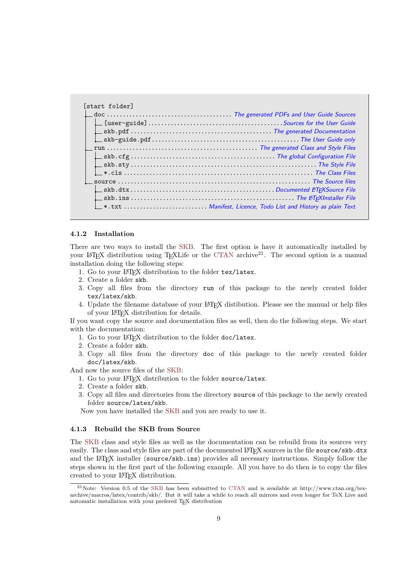| $\Box$ doc $\ldots\ldots\ldots\ldots\ldots\ldots\ldots\ldots\ldots\ldots\ldots\ldots$ . The generated PDFs and User Guide Sources |  |
|-----------------------------------------------------------------------------------------------------------------------------------|--|
|                                                                                                                                   |  |
|                                                                                                                                   |  |
|                                                                                                                                   |  |
|                                                                                                                                   |  |
|                                                                                                                                   |  |
|                                                                                                                                   |  |
|                                                                                                                                   |  |
|                                                                                                                                   |  |
|                                                                                                                                   |  |
|                                                                                                                                   |  |
|                                                                                                                                   |  |

#### **4.1.2 Installation**

There are two ways to install the [SKB.](#page-20-1) The first option is have it automatically installed by your LATEX distribution using TEXLife or the [CTAN](#page-20-16) archive<sup>21</sup>. The second option is a manual installation doing the following steps:

- 1. Go to your LATEX distribution to the folder tex/latex.
- 2. Create a folder skb.
- 3. Copy all files from the directory run of this package to the newly created folder tex/latex/skb.
- 4. Update the filename database of your LATEX distibution. Please see the manual or help files of your LATEX distribution for details.

If you want copy the source and documentation files as well, then do the following steps. We start with the documentation:

- 1. Go to your LATEX distribution to the folder doc/latex.
- 2. Create a folder skb.
- 3. Copy all files from the directory doc of this package to the newly created folder doc/latex/skb.

And now the source files of the [SKB:](#page-20-1)

- 1. Go to your LATEX distribution to the folder source/latex.
- 2. Create a folder skb.
- 3. Copy all files and directories from the directory source of this package to the newly created folder source/latex/skb.

Now you have installed the [SKB](#page-20-1) and you are ready to use it.

#### **4.1.3 Rebuild the SKB from Source**

The [SKB](#page-20-1) class and style files as well as the documentation can be rebuild from its sources very easily. The class and style files are part of the documented LAT<sub>EX</sub> sources in the file source/skb.dtx and the L<sup>A</sup>T<sub>E</sub>X installer (source/skb.ins) provides all necessary instructions. Simply follow the steps shown in the first part of the following example. All you have to do then is to copy the files created to your LATEX distribution.

<sup>21</sup>Note: Version 0.5 of the [SKB](#page-20-1) has been submitted to [CTAN](#page-20-16) and is available at http://www.ctan.org/texarchive/macros/latex/contrib/skb/. But it will take a while to reach all mirrors and even longer for TeX Live and automatic installation with your prefered TEX distribution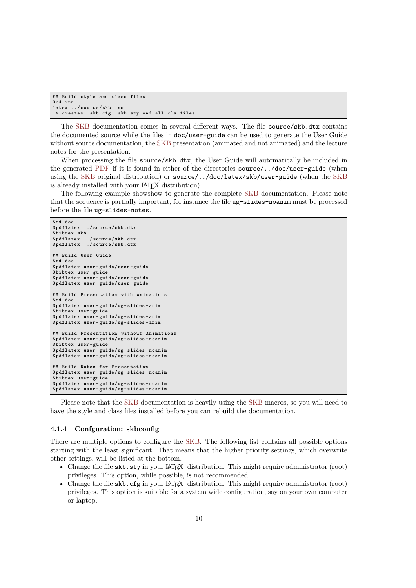```
## Build style and class files
$cd run
latex ../ source / skb . ins
-> creates : skb .cfg , skb . sty and all cls files
```
The [SKB](#page-20-1) documentation comes in several different ways. The file source/skb.dtx contains the documented source while the files in doc/user-guide can be used to generate the User Guide without source documentation, the [SKB](#page-20-1) presentation (animated and not animated) and the lecture notes for the presentation.

When processing the file source/skb.dtx, the User Guide will automatically be included in the generated [PDF](#page-20-7) if it is found in either of the directories source/../doc/user-guide (when using the [SKB](#page-20-1) original distribution) or source/../doc/latex/skb/user-guide (when the [SKB](#page-20-1) is already installed with your LAT<sub>EX</sub> distribution).

The following example showshow to generate the complete [SKB](#page-20-1) documentation. Please note that the sequence is partially important, for instance the file ug-slides-noanim must be processed before the file ug-slides-notes.

```
$cd doc
            $ pdflatex ../ source / skb . dtx
$ bibtex skb
$ pdflatex ../ source / skb . dtx
$ pdflatex ../ source / skb . dtx
## Build User Guide
$cd doc
$ pdflatex user - guide /user - guide
$ bibtex user - guide
$ pdflatex user - guide /user - guide
$ pdflatex user - guide /user - guide
## Build Presentation with Animations
$cd doc
$ pdflatex user - guide /ug - slides - anim
$ bibtex user - guide
$ pdflatex user - guide /ug - slides - anim
$ pdflatex user - guide /ug - slides - anim
## Build Presentation without Animations
$ pdflatex user - guide /ug - slides - noanim
$ bibtex user - guide
$ pdflatex user - guide /ug - slides - noanim
$ pdflatex user - guide /ug - slides - noanim
## Build Notes for Presentation
$ pdflatex user - guide /ug - slides - noanim
$ bibtex user - guide
$ pdflatex user - guide /ug - slides - noanim
$ pdflatex user - guide /ug - slides - noanim
```
Please note that the [SKB](#page-20-1) documentation is heavily using the [SKB](#page-20-1) macros, so you will need to have the style and class files installed before you can rebuild the documentation.

#### <span id="page-9-0"></span>**4.1.4 Confguration: skbconfig**

There are multiple options to configure the [SKB.](#page-20-1) The following list contains all possible options starting with the least significant. That means that the higher priority settings, which overwrite other settings, will be listed at the bottom.

- Change the file skb.sty in your LATEX distribution. This might require administrator (root) privileges. This option, while possible, is not recommended.
- Change the file skb.cfg in your LATEX distribution. This might require administrator (root) privileges. This option is suitable for a system wide configuration, say on your own computer or laptop.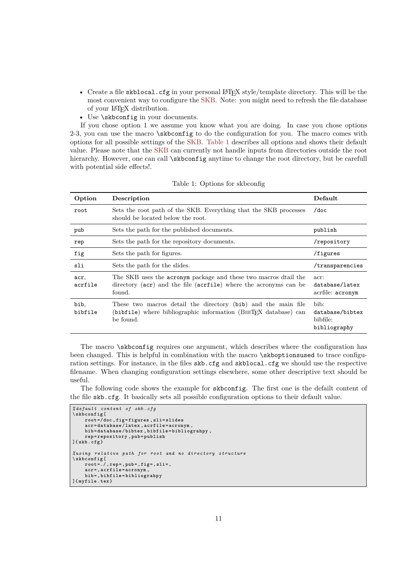- Create a file skblocal.cfg in your personal LATEX style/template directory. This will be the most convenient way to configure the [SKB.](#page-20-1) Note: you might need to refresh the file database of your LATEX distribution.
- Use *skbconfig* in your documents.

If you chose option 1 we assume you know what you are doing. In case you chose options 2-3, you can use the macro \skbconfig to do the configuration for you. The macro comes with options for all possible settings of the [SKB.](#page-20-1) [Table 1](#page-3-1) describes all options and shows their default value. Please note that the [SKB](#page-20-1) can currently not handle inputs from directories outside the root hierarchy. However, one can call  $\skbconfig$  anytime to change the root directory, but be carefull with potential side effects!.

| Option          | Description                                                                                                                                   | Default                                             |
|-----------------|-----------------------------------------------------------------------------------------------------------------------------------------------|-----------------------------------------------------|
| root            | Sets the root path of the SKB. Everything that the SKB processes<br>should be located below the root.                                         | $/$ doc                                             |
| pub             | Sets the path for the published documents.                                                                                                    | publish                                             |
| rep             | Sets the path for the repository documents.                                                                                                   | /repository                                         |
| fig             | Sets the path for figures.                                                                                                                    | /figures                                            |
| sli             | Sets the path for the slides.                                                                                                                 | /transparencies                                     |
| acr,<br>acrfile | The SKB uses the acronym package and these two macros dtail the<br>directory (acr) and the file (acrial where the acronyms can be<br>found.   | acr:<br>database/latex<br>acrfile: acronym          |
| bib,<br>bibfile | These two macros detail the directory (bib) and the main file<br>(bibfile) where bibliographic information (BIBTFX database) can<br>be found. | bib:<br>database/bibtex<br>bibfile:<br>bibliography |

Table 1: Options for skbconfig

The macro \skbconfig requires one argument, which describes where the configuration has been changed. This is helpful in combination with the macro \skboptionsused to trace configuration settings. For instance, in the files skb.cfg and skblocal.cfg we should use the respective filename. When changing configuration settings elsewhere, some other descriptive text should be useful.

The following code shows the example for skbconfig. The first one is the defailt content of the file skb.cfg. It basically sets all possible configuration options to their default value.

```
% default content of skb . cfg
\ skbconfig [
     root =/ doc , fig = figures , sli = slides
     acr = database / latex , acrfile = acronym ,
     bib = database / bibtex , bibfile = bibliograhpy ,
     rep = repository , pub = publish
]{ skb . cfg }
% using relative path for root and no directory structure
\ skbconfig [
     root =./ , rep =, pub =, fig =, sli =,
     acr =, acrfile = acronym ,
     bib =, bibfile = bibliograhpy
]{ myfile . tex }
```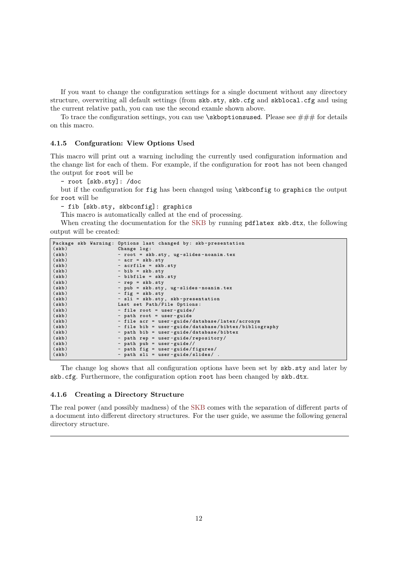If you want to change the configuration settings for a single document without any directory structure, overwriting all default settings (from skb.sty, skb.cfg and skblocal.cfg and using the current relative path, you can use the second examle shown above.

To trace the configuration settings, you can use  $\skb$  optionsused. Please see  $\# \#$  for details on this macro.

#### **4.1.5 Confguration: View Options Used**

This macro will print out a warning including the currently used configuration information and the change list for each of them. For example, if the configuration for root has not been changed the output for root will be

- root [skb.sty]: /doc

but if the configuration for fig has been changed using \skbconfig to graphics the output for root will be

- fib [skb.sty, skbconfig]: graphics

This macro is automatically called at the end of processing.

When creating the documentation for the [SKB](#page-20-1) by running pdflatex skb.dtx, the following output will be created:

|       |  | Package skb Warning: Options last changed by: skb-presentation |
|-------|--|----------------------------------------------------------------|
| (skb) |  | Change log:                                                    |
| (skb) |  | - root = skb.sty, ug-slides-noanim.tex                         |
| (skb) |  | $-$ acr = $skb . sty$                                          |
| (skb) |  | - acrfile = skb.sty                                            |
| (skb) |  | $-$ bib = skb.sty                                              |
| (skb) |  | - bibfile = skb.sty                                            |
| (skb) |  | $-$ rep = skb.sty                                              |
| (skb) |  | - pub = skb.sty, ug-slides-noanim.tex                          |
| (skb) |  | $-$ fig = skb.sty                                              |
| (skb) |  | - sli = skb.sty, skb-presentation                              |
| (skb) |  | Last set Path/File Options:                                    |
| (skb) |  | - file root = user-guide/                                      |
| (skb) |  | - path root = user-guide                                       |
| (skb) |  | - file acr = user-guide/database/latex/acronym                 |
| (skb) |  | - file bib = user-guide/database/bibtex/bibliography           |
| (skb) |  | - path bib = user-guide/database/bibtex                        |
| (skb) |  | - path rep = user-guide/repository/                            |
| (skb) |  | - path pub = user-guide//                                      |
| (skb) |  | - path fig = user-guide/figures/                               |
| (skb) |  | - path sli = user-guide/slides/.                               |

The change log shows that all configuration options have been set by skb.sty and later by skb.cfg. Furthermore, the configuration option root has been changed by skb.dtx.

## **4.1.6 Creating a Directory Structure**

The real power (and possibly madness) of the [SKB](#page-20-1) comes with the separation of different parts of a document into different directory structures. For the user guide, we assume the following general directory structure.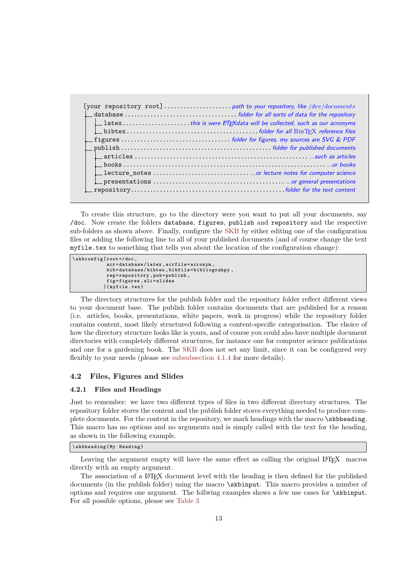| $\Box$ latexthis is were $\angle$ FFXdata will be collected, such as our acronyms |
|-----------------------------------------------------------------------------------|
|                                                                                   |
|                                                                                   |
|                                                                                   |
|                                                                                   |
|                                                                                   |
|                                                                                   |
|                                                                                   |
|                                                                                   |
|                                                                                   |

To create this structure, go to the directory were you want to put all your documents, say /doc. Now create the folders database, figures, publish and repository and the respective sub-folders as shown above. Finally, configure the [SKB](#page-20-1) by either editing one of the configuration files or adding the following line to all of your published documents (and of course change the text myfile.tex to something that tells you about the location of the configuration change):

```
\ skbconfig [ root =/ doc ,
               acr = database / latex , acrfile = acronym ,
               bib = database / bibtex , bibfile = bibliograhpy ,
               rep = repository , pub = publish ,
              fig = figures , sli = slides
]{ myfile . tex }
```
The directory structures for the publish folder and the repository folder reflect different views to your document base. The publish folder contains documents that are published for a reason (i.e. articles, books, presentations, white papers, work in progress) while the repository folder contains content, most likely structured following a content-specific categorisation. The choice of how the directory structure looks like is yours, and of course you could also have multiple document directories with completely different structures, for instance one for computer science publications and one for a gardening book. The [SKB](#page-20-1) does not set any limit, since it can be configured very flexibly to your needs (please see [subsubsection 4.1.4](#page-9-0) for more details).

#### <span id="page-12-0"></span>**4.2 Files, Figures and Slides**

#### **4.2.1 Files and Headings**

Just to remember: we have two different types of files in two different directory structures. The repository folder stores the content and the publish folder stores everything needed to produce complete documents. For the content in the repository, we mark headings with the macro \skbheading. This macro has no options and no arguments and is simply called with the text for the heading, as shown in the following example.

\ **skbheading** {**My Heading** }

Leaving the argument empty will have the same effect as calling the original LATEX macros directly with an empty argument.

The association of a LAT<sub>EX</sub> document level with the heading is then defined for the published documents (in the publish folder) using the macro  $\lambda$ skbinput. This macro provides a number of options and requires one argument. The follwing examples shows a few use cases for \skbinput. For all possible options, please see [Table 3](#page-13-0)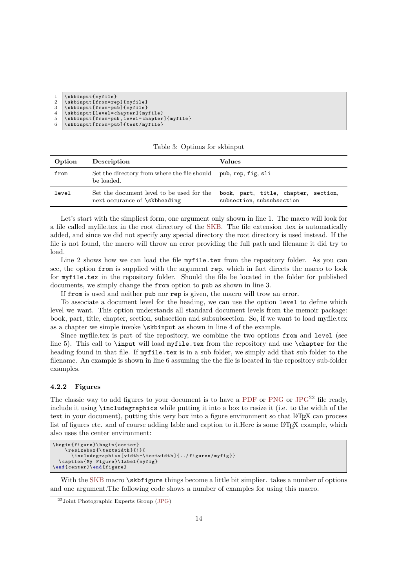| $1 \ \backslash$ skbinput $\{\text{myfile}\}\$   |
|--------------------------------------------------|
| 2   \skbinput [from=rep] {myfile}                |
| 3   \skbinput [from=pub] {myfile}                |
| 4   \skbinput [level=chapter] {myfile}           |
| 5   \skbinput [from=pub, level=chapter] {myfile} |
| $6$   \skbinput [from=pub] {test/myfile}         |
|                                                  |

<span id="page-13-0"></span>

| Table 3: Options for skbinput |  |
|-------------------------------|--|
|-------------------------------|--|

| Option | Description                                                                | Values                                                            |
|--------|----------------------------------------------------------------------------|-------------------------------------------------------------------|
| from   | Set the directory from where the file should<br>be loaded.                 | pub, rep, fig, sli                                                |
| level  | Set the document level to be used for the<br>next occurance of \skbheading | book, part, title, chapter, section,<br>subsection, subsubsection |

Let's start with the simpliest form, one argument only shown in line 1. The macro will look for a file called myfile.tex in the root directory of the [SKB.](#page-20-1) The file extension .tex is automatically added, and since we did not specify any special directory the root directory is used instead. If the file is not found, the macro will throw an error providing the full path and filename it did try to load.

Line 2 shows how we can load the file myfile.tex from the repository folder. As you can see, the option from is supplied with the argument rep, which in fact directs the macro to look for myfile.tex in the repository folder. Should the file be located in the folder for published documents, we simply change the from option to pub as shown in line 3.

If from is used and neither pub nor rep is given, the macro will trow an error.

To associate a document level for the heading, we can use the option level to define which level we want. This option understands all standard document levels from the memoir package: book, part, title, chapter, section, subsection and subsubsection. So, if we want to load myfile.tex as a chapter we simple invoke \skbinput as shown in line 4 of the example.

Since myfile.tex is part of the repository, we combine the two options from and level (see line 5). This call to \input will load myfile.tex from the repository and use \chapter for the heading found in that file. If myfile.tex is in a sub folder, we simply add that sub folder to the filename. An example is shown in line 6 assuming the the file is located in the repository sub-folder examples.

#### **4.2.2 Figures**

The classic way to add figures to your document is to have a [PDF](#page-20-7) or [PNG](#page-20-14) or  $JPG^{22}$  $JPG^{22}$  file ready, include it using \includegraphics while putting it into a box to resize it (i.e. to the width of the text in your document), putting this very box into a figure environment so that LAT<sub>E</sub>X can process list of figures etc. and of course adding lable and caption to it. Here is some LATEX example, which also uses the center environment:

```
\ begin { figure }\ begin { center }
     \ resizebox {\ textwidth }{!}{
       \ i n c l u d e g r a p h i c s [ width =\ textwidth ]{../ figures / myfig }}
  \ caption {My Figure }\ label { myfig }
\ end { center }\ end { figure }
```
With the [SKB](#page-20-1) macro **\skbfigure** things become a little bit simplier. takes a number of options and one argument.The following code shows a number of examples for using this macro.

 $22$ Joint Photographic Experts Group [\(JPG\)](#page-20-17)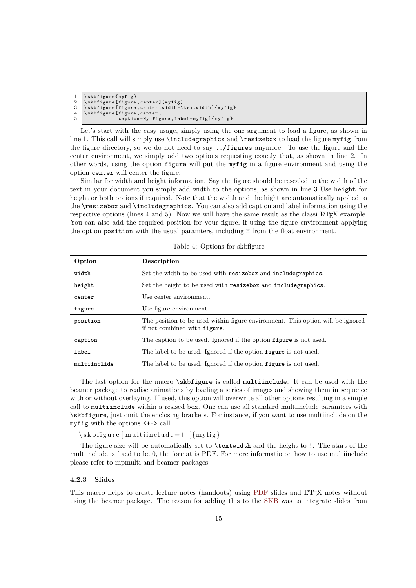```
1 \ skbfigure { myfig }
2 \ skbfigure [ figure , center ]{ myfig }
3 \ skbfigure [ figure , center , width =\ textwidth ]{ myfig }
    4 \ skbfigure [ figure , center ,
5 caption =My Figure , label = myfig ]{ myfig }
```
Let's start with the easy usage, simply using the one argument to load a figure, as shown in line 1. This call will simply use **\includegraphics** and **\resizebox** to load the figure myfig from the figure directory, so we do not need to say ../figures anymore. To use the figure and the center environment, we simply add two options requesting exactly that, as shown in line 2. In other words, using the option figure will put the myfig in a figure environment and using the option center will center the figure.

Similar for width and height information. Say the figure should be rescaled to the width of the text in your document you simply add width to the options, as shown in line 3 Use height for height or both options if required. Note that the width and the hight are automatically applied to the \resizebox and \includegraphics. You can also add caption and label information using the respective options (lines 4 and 5). Now we will have the same result as the classi L<sup>AT</sup>EX example. You can also add the required position for your figure, if using the figure environment applying the option position with the usual paramters, including H from the float environment.

| Option       | Description                                                                                                    |
|--------------|----------------------------------------------------------------------------------------------------------------|
| width        | Set the width to be used with resizebox and include graphics.                                                  |
| height       | Set the height to be used with resizebox and include graphics.                                                 |
| center       | Use center environment.                                                                                        |
| figure       | Use figure environment.                                                                                        |
| position     | The position to be used within figure environment. This option will be ignored<br>if not combined with figure. |
| caption      | The caption to be used. Ignored if the option figure is not used.                                              |
| label        | The label to be used. Ignored if the option figure is not used.                                                |
| multiinclide | The label to be used. Ignored if the option figure is not used.                                                |

Table 4: Options for skbfigure

The last option for the macro \skbfigure is called multiinclude. It can be used with the beamer package to realise animations by loading a series of images and showing them in sequence with or without overlaying. If used, this option will overwrite all other options resulting in a simple call to multiinclude within a resised box. One can use all standard multiinclude paramters with \skbfigure, just omit the enclosing brackets. For instance, if you want to use multiinclude on the myfig with the options <+-> call

 $\simeq$  \skbfigure [multiinclude=+-]{myfig}

The figure size will be automatically set to \textwidth and the height to !. The start of the multiinclude is fixed to be 0, the format is PDF. For more informatio on how to use multiinclude please refer to mpmulti and beamer packages.

### **4.2.3 Slides**

This macro helps to create lecture notes (handouts) using [PDF](#page-20-7) slides and L<sup>AT</sup>FX notes without using the beamer package. The reason for adding this to the [SKB](#page-20-1) was to integrate slides from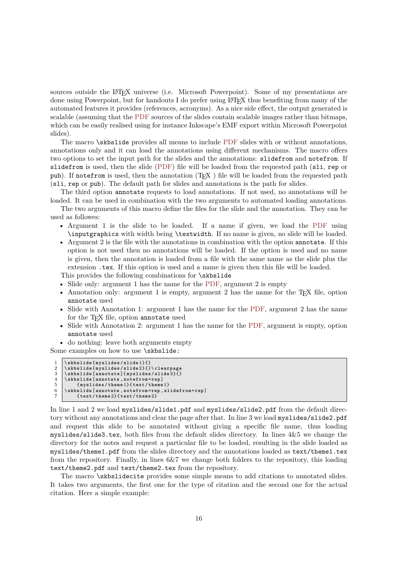sources outside the LATEX universe (i.e. Microsoft Powerpoint). Some of my presentations are done using Powerpoint, but for handouts I do prefer using LATEX thus benefiting from many of the automated features it provides (references, acronyms). As a nice side effect, the output generated is scalable (assuming that the [PDF](#page-20-7) sources of the slides contain scalable images rather than bitmaps, which can be easily realised using for instance Inkscape's EMF export within Microsoft Powerpoint slides).

The macro \skbslide provides all means to include [PDF](#page-20-7) slides with or without annotations, annotations only and it can load the annotations using different mechanisms. The macro offers two options to set the input path for the slides and the annotations: slidefrom and notefrom. If slidefrom is used, then the slide [\(PDF\)](#page-20-7) file will be loaded from the requested path (sli, rep or pub). If notefrom is used, then the annotation  $(T<sub>F</sub>X)$  file will be loaded from the requested path (sli, rep or pub). The default path for slides and annotations is the path for slides.

The third option annotate requests to load annotations. If not used, no annotations will be loaded. It can be used in combination with the two arguments to automated loading annotations.

The two arguments of this macro define the files for the slide and the annotation. They can be used as followes:

- Argument 1 is the slide to be loaded. If a name if given, we load the [PDF](#page-20-7) using \inputgraphics with width being \textwidth. If no name is given, no slide will be loaded.
- Argument 2 is the file with the annotations in combination with the option annotate. If this option is not used then no annotations will be loaded. If the option is used and no name is given, then the annotation is loaded from a file with the same name as the slide plus the extension .tex. If this option is used and a name is given then this file will be loaded.

This provides the following combinations for \skbslide

- Slide only: argument 1 has the name for the [PDF,](#page-20-7) argument 2 is empty
- Annotation only: argument 1 is empty, argument 2 has the name for the T<sub>E</sub>X file, option annotate used
- Slide with Annotation 1: argument 1 has the name for the [PDF,](#page-20-7) argument 2 has the name for the T<sub>E</sub>X file, option annotate used
- Slide with Annotation 2: argument 1 has the name for the [PDF,](#page-20-7) argument is empty, option annotate used

• do nothing: leave both arguments empty

Some examples on how to use \skbslide:

```
1 \ skbslide { myslides / slide 1}{}
2 \ skbslide { myslides / slide 2}{}\ clearpage
```

```
3 \ skbslide [ annotate ]{ myslides / slide 3}{}
```

```
4 \ skbslide [ annotate , notefrom = rep ]
         5 { myslides / theme 1}{ text / theme 1}
```

```
6 \ \ skbslide [annotate , notefrom=rep , slidefrom=rep]<br>7 \ \ \ text/theme2}{ text/theme2}
```

```
7 { text / theme 2}{ text / theme 2}
```
In line 1 and 2 we load myslides/slide1.pdf and myslides/slide2.pdf from the default directory without any annotations and clear the page after that. In line 3 we load myslides/slide2.pdf and request this slide to be annotated without giving a specific file name, thus loading myslides/slide3.tex, both files from the default slides directory. In lines 4&5 we change the directory for the notes and request a particular file to be loaded, resulting in the slide loaded as myslides/theme1.pdf from the slides directory and the annotations loaded as text/theme1.tex from the repository. Finally, in lines 6&7 we change both folders to the repository, this loading text/theme2.pdf and text/theme2.tex from the repository.

The macro \skbslidecite provides some simple means to add citations to annotated slides. It takes two arguments, the first one for the type of citation and the second one for the actual citation. Here a simple example: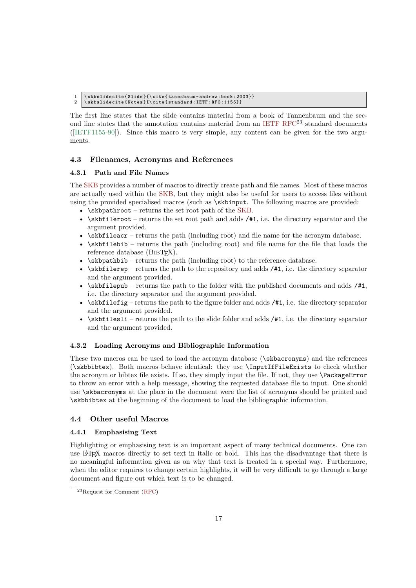```
1 \ skbslidecite { Slide }{\ cite { tanenbaum - andrew : book :2003}}
```

```
2 \ skbslidecite { Notes }{\ cite { standard : IETF : RFC :1155}}
```
The first line states that the slide contains material from a book of Tannenbaum and the sec-ond line states that the annotation contains material from an [IETF](#page-20-13)  $RFC^{23}$  $RFC^{23}$  standard documents ([\[IETF1155-90\]](#page-20-19)). Since this macro is very simple, any content can be given for the two arguments.

## <span id="page-16-0"></span>**4.3 Filenames, Acronyms and References**

## **4.3.1 Path and File Names**

The [SKB](#page-20-1) provides a number of macros to directly create path and file names. Most of these macros are actually used within the [SKB,](#page-20-1) but they might also be useful for users to access files without using the provided specialised macros (such as \skbinput. The following macros are provided:

- \skbpathroot returns the set root path of the [SKB.](#page-20-1)
- $\skbfileroot returns the set root path and adds /#1, i.e. the directory separator and the$ argument provided.
- \skbfileacr returns the path (including root) and file name for the acronym database.
- \skbfilebib returns the path (including root) and file name for the file that loads the reference database  $(BIBT<sub>F</sub>X)$ .
- $\simeq$   $\simeq$   $\simeq$   $\simeq$   $\simeq$   $\simeq$   $\simeq$   $\simeq$   $\simeq$   $\simeq$   $\simeq$   $\simeq$   $\simeq$   $\simeq$   $\simeq$   $\simeq$   $\simeq$   $\simeq$   $\simeq$   $\simeq$   $\simeq$   $\simeq$   $\simeq$   $\simeq$   $\simeq$   $\simeq$   $\simeq$   $\simeq$   $\simeq$   $\simeq$   $\simeq$   $\$
- $\simeq$   $\simeq$   $\simeq$   $\simeq$   $\simeq$   $\simeq$   $\simeq$   $\simeq$   $\simeq$   $\simeq$   $\simeq$   $\simeq$   $\simeq$   $\simeq$   $\simeq$   $\simeq$   $\simeq$   $\simeq$   $\simeq$   $\simeq$   $\simeq$   $\simeq$   $\simeq$   $\simeq$   $\simeq$   $\simeq$   $\simeq$   $\simeq$   $\simeq$   $\simeq$   $\simeq$   $\$ and the argument provided.
- $\skbfilepub returns the path to the folder with the published documents and adds  $/\#1$ ,$ i.e. the directory separator and the argument provided.
- $\skbfilefig returns the path to the figure folder and adds  $/#1$ , i.e. the directory separator$ and the argument provided.
- \skbfilesli returns the path to the slide folder and adds /#1, i.e. the directory separator and the argument provided.

## **4.3.2 Loading Acronyms and Bibliographic Information**

These two macros can be used to load the acronym database (\skbacronyms) and the references (\skbbibtex). Both macros behave identical: they use \InputIfFileExists to check whether the acronym or bibtex file exists. If so, they simply input the file. If not, they use \PackageError to throw an error with a help message, showing the requested database file to input. One should use \skbacronyms at the place in the document were the list of acronyms should be printed and \skbbibtex at the beginning of the document to load the bibliographic information.

## <span id="page-16-1"></span>**4.4 Other useful Macros**

## **4.4.1 Emphasising Text**

Highlighting or emphasising text is an important aspect of many technical documents. One can use LATEX macros directly to set text in italic or bold. This has the disadvantage that there is no meaningful information given as on why that text is treated in a special way. Furthermore, when the editor requires to change certain highlights, it will be very difficult to go through a large document and figure out which text is to be changed.

<sup>23</sup>Request for Comment [\(RFC\)](#page-20-18)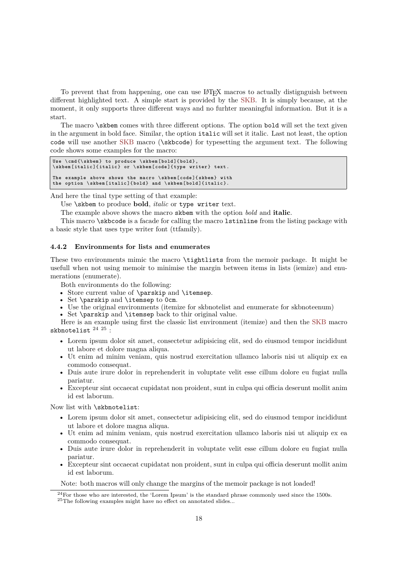To prevent that from happening, one can use L<sup>AT</sup>FX macros to actually distignguish between different highlighted text. A simple start is provided by the [SKB.](#page-20-1) It is simply because, at the moment, it only supports three different ways and no furhter meaningful information. But it is a start.

The macro \skbem comes with three different options. The option bold will set the text given in the argument in bold face. Similar, the option italic will set it italic. Last not least, the option code will use another [SKB](#page-20-1) macro (\skbcode) for typesetting the argument text. The following code shows some examples for the macro:

```
Use \cmd{\skbem} to produce \skbem[bold]{bold},<br>\skbem[italic]{italic} or \skbem[code]{type writer} text.
The example above shows the macro \skbem[code]{skbem} with<br>the option \skbem[italic]{bold} and \skbem[bold]{italic}.
```
And here the tinal type setting of that example:

Use \skbem to produce **bold**, *italic* or type writer text.

The example above shows the macro skbem with the option *bold* and **italic**.

This macro \skbcode is a facade for calling the macro lstinline from the listing package with a basic style that uses type writer font (ttfamily).

#### **4.4.2 Environments for lists and enumerates**

These two environments mimic the macro \tightlists from the memoir package. It might be usefull when not using memoir to minimise the margin between items in lists (iemize) and enumerations (enumerate).

Both environments do the following:

- Store current value of \parskip and \itemsep.
- Set \parskip and \itemsep to 0cm.
- Use the original environments (itemize for skbnotelist and enumerate for skbnoteenum)
- Set \parskip and \itemsep back to thir original value. Here is an example using first the classic list environment (itemize) and then the [SKB](#page-20-1) macro

skbnotelist  $^{24}$   $^{25}$  :

- Lorem ipsum dolor sit amet, consectetur adipisicing elit, sed do eiusmod tempor incididunt ut labore et dolore magna aliqua.
- Ut enim ad minim veniam, quis nostrud exercitation ullamco laboris nisi ut aliquip ex ea commodo consequat.
- Duis aute irure dolor in reprehenderit in voluptate velit esse cillum dolore eu fugiat nulla pariatur.
- Excepteur sint occaecat cupidatat non proident, sunt in culpa qui officia deserunt mollit anim id est laborum.

Now list with \skbnotelist:

- Lorem ipsum dolor sit amet, consectetur adipisicing elit, sed do eiusmod tempor incididunt ut labore et dolore magna aliqua.
- Ut enim ad minim veniam, quis nostrud exercitation ullamco laboris nisi ut aliquip ex ea commodo consequat.
- Duis aute irure dolor in reprehenderit in voluptate velit esse cillum dolore eu fugiat nulla pariatur.
- Excepteur sint occaecat cupidatat non proident, sunt in culpa qui officia deserunt mollit anim id est laborum.

Note: both macros will only change the margins of the memoir package is not loaded!

 $^{24}\rm{For}$  those who are interested, the 'Lorem Ipsum' is the standard phrase commonly used since the 1500s. <sup>25</sup>The following examples might have no effect on annotated slides...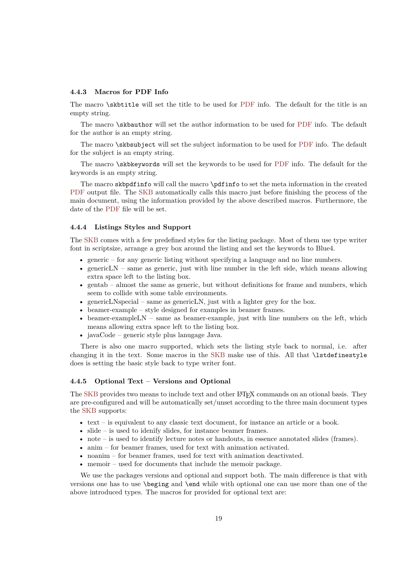#### **4.4.3 Macros for PDF Info**

The macro \skbtitle will set the title to be used for [PDF](#page-20-7) info. The default for the title is an empty string.

The macro \skbauthor will set the author information to be used for [PDF](#page-20-7) info. The default for the author is an empty string.

The macro \skbsubject will set the subject information to be used for [PDF](#page-20-7) info. The default for the subject is an empty string.

The macro \skbkeywords will set the keywords to be used for [PDF](#page-20-7) info. The default for the keywords is an empty string.

The macro skbpdfinfo will call the macro \pdfinfo to set the meta information in the created [PDF](#page-20-7) output file. The [SKB](#page-20-1) automatically calls this macro just before finishing the process of the main document, using the information provided by the above described macros. Furthermore, the date of the [PDF](#page-20-7) file will be set.

#### **4.4.4 Listings Styles and Support**

The [SKB](#page-20-1) comes with a few predefined styles for the listing package. Most of them use type writer font in scriptsize, arrange a grey box around the listing and set the keywords to Blue4.

- generic for any generic listing without specifying a language and no line numbers.
- genericLN same as generic, just with line number in the left side, which means allowing extra space left to the listing box.
- gentab almost the same as generic, but without definitions for frame and numbers, which seem to collide with some table environments.
- genericLNspecial same as genericLN, just with a lighter grey for the box.
- beamer-example style designed for examples in beamer frames.
- beamer-exampleLN same as beamer-example, just with line numbers on the left, which means allowing extra space left to the listing box.
- javaCode generic style plus lanugage Java.

There is also one macro supported, which sets the listing style back to normal, i.e. after changing it in the text. Some macros in the [SKB](#page-20-1) make use of this. All that \lstdefinestyle does is setting the basic style back to type writer font.

#### **4.4.5 Optional Text – Versions and Optional**

The [SKB](#page-20-1) provides two means to include text and other LAT<sub>EX</sub> commands on an otional basis. They are pre-configured and will be automatically set/unset according to the three main document types the [SKB](#page-20-1) supports:

- text is equivalent to any classic text document, for instance an article or a book.
- slide is used to idenify slides, for instance beamer frames.
- note is used to identify lecture notes or handouts, in essence annotated slides (frames).
- anim for beamer frames, used for text with animation activated.
- noanim for beamer frames, used for text with animation deactivated.
- memoir used for documents that include the memoir package.

We use the packages versions and optional and support both. The main difference is that with versions one has to use \beging and \end while with optional one can use more than one of the above introduced types. The macros for provided for optional text are: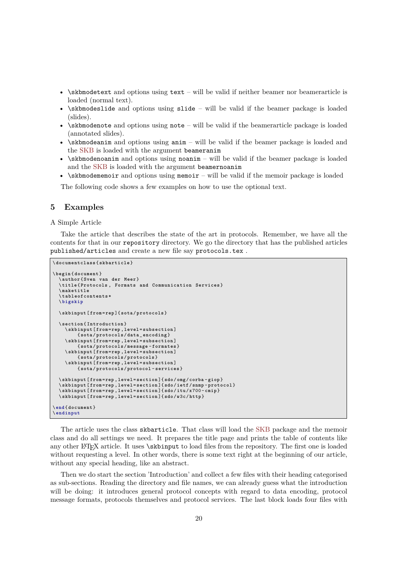- $\simeq$   $\skewDed$  skbmodetext and options using text will be valid if neither beamer nor beamerarticle is loaded (normal text).
- \skbmodeslide and options using slide will be valid if the beamer package is loaded (slides).
- \skbmodenote and options using note will be valid if the beamerarticle package is loaded (annotated slides).
- \skbmodeanim and options using anim will be valid if the beamer package is loaded and the [SKB](#page-20-1) is loaded with the argument beameranim
- \skbmodenoanim and options using noanim will be valid if the beamer package is loaded and the [SKB](#page-20-1) is loaded with the argument beamernoanim
- \skbmodememoir and options using memoir will be valid if the memoir package is loaded

The following code shows a few examples on how to use the optional text.

#### <span id="page-19-0"></span>**5 Examples**

#### A Simple Article

Take the article that describes the state of the art in protocols. Remember, we have all the contents for that in our repository directory. We go the directory that has the published articles published/articles and create a new file say protocols.tex .

```
\ d ocu me nt cl as s { skbarticle }
```

```
\ begin { document }
   \ author { Sven van der Meer }
   \title{Protocols, Formats and Communication Services}
   \ maketitle
   \ t a b l e o f c o n t e n t s *
  \ bigskip
  \ skbinput [ from = rep ]{ sota / protocols }
  \ section { Introduction }
     \ skbinput [ from =rep , level = subsection ]
           { sota / protocols / data _ encoding }
     \ skbinput [ from =rep , level = subsection ]
           { sota / protocols / message - formates }
     \ skbinput [ from =rep , level = subsection ]
     { sota / protocols / protocols }
\ skbinput [ from =rep , level = subsection ]
          { sota / protocols / protocol - services }
  \ skbinput [ from =rep , level = section ]{ sdo / omg / corba - giop }
   \skbinput [from=rep,level=section]{sdo/ietf/snmp-protocol}<br>\skbinput [from=rep,level=section]{sdo/itu/x700-cmip}
  \ skbinput [ from =rep , level = section ]{ sdo /w3c/ http }
\ end { document }
\ endinput
```
The article uses the class skbarticle. That class will load the [SKB](#page-20-1) package and the memoir class and do all settings we need. It prepares the title page and prints the table of contents like any other L<sup>AT</sup>EX article. It uses \skbinput to load files from the repository. The first one is loaded without requesting a level. In other words, there is some text right at the beginning of our article, without any special heading, like an abstract.

Then we do start the section 'Introduction' and collect a few files with their heading categorised as sub-sections. Reading the directory and file names, we can already guess what the introduction will be doing: it introduces general protocol concepts with regard to data encoding, protocol message formats, protocols themselves and protocol services. The last block loads four files with